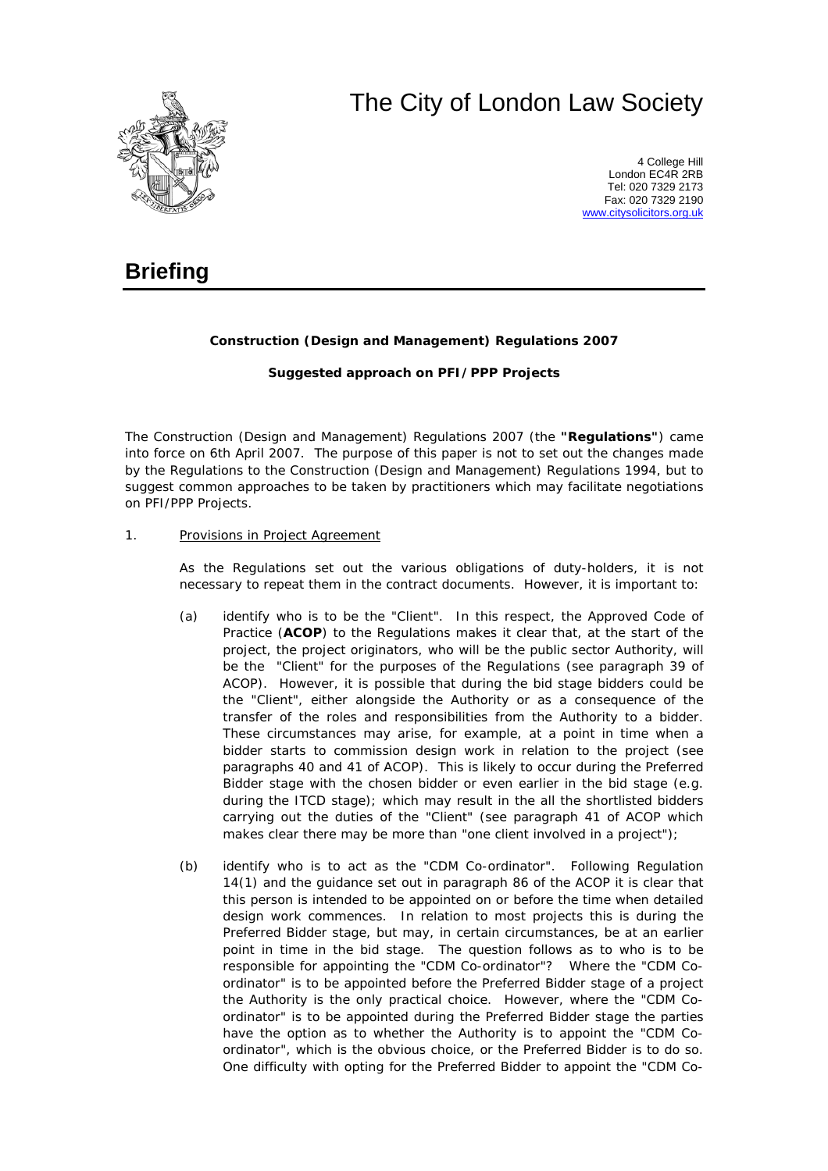# The City of London Law Society



4 College Hill London EC4R 2RB Tel: 020 7329 2173 Fax: 020 7329 2190 [www.citysolicitors.org.uk](http://www.citysolicitors.org.uk/)

## **Briefing**

### **Construction (Design and Management) Regulations 2007**

### **Suggested approach on PFI/PPP Projects**

The Construction (Design and Management) Regulations 2007 (the **"Regulations"**) came into force on 6th April 2007. The purpose of this paper is not to set out the changes made by the Regulations to the Construction (Design and Management) Regulations 1994, but to suggest common approaches to be taken by practitioners which may facilitate negotiations on PFI/PPP Projects.

#### 1. Provisions in Project Agreement

As the Regulations set out the various obligations of duty-holders, it is not necessary to repeat them in the contract documents. However, it is important to:

- (a) identify who is to be the "Client". In this respect, the Approved Code of Practice (**ACOP**) to the Regulations makes it clear that, at the start of the project, the project originators, who will be the public sector Authority, will be the "Client" for the purposes of the Regulations (see paragraph 39 of ACOP). However, it is possible that during the bid stage bidders could be the "Client", either alongside the Authority or as a consequence of the transfer of the roles and responsibilities from the Authority to a bidder. These circumstances may arise, for example, at a point in time when a bidder starts to commission design work in relation to the project (see paragraphs 40 and 41 of ACOP). This is likely to occur during the Preferred Bidder stage with the chosen bidder or even earlier in the bid stage (e.g. during the ITCD stage); which may result in the all the shortlisted bidders carrying out the duties of the "Client" (see paragraph 41 of ACOP which makes clear there may be more than "one client involved in a project");
- (b) identify who is to act as the "CDM Co-ordinator". Following Regulation 14(1) and the guidance set out in paragraph 86 of the ACOP it is clear that this person is intended to be appointed on or before the time when detailed design work commences. In relation to most projects this is during the Preferred Bidder stage, but may, in certain circumstances, be at an earlier point in time in the bid stage. The question follows as to who is to be responsible for appointing the "CDM Co-ordinator"? Where the "CDM Coordinator" is to be appointed before the Preferred Bidder stage of a project the Authority is the only practical choice. However, where the "CDM Coordinator" is to be appointed during the Preferred Bidder stage the parties have the option as to whether the Authority is to appoint the "CDM Coordinator", which is the obvious choice, or the Preferred Bidder is to do so. One difficulty with opting for the Preferred Bidder to appoint the "CDM Co-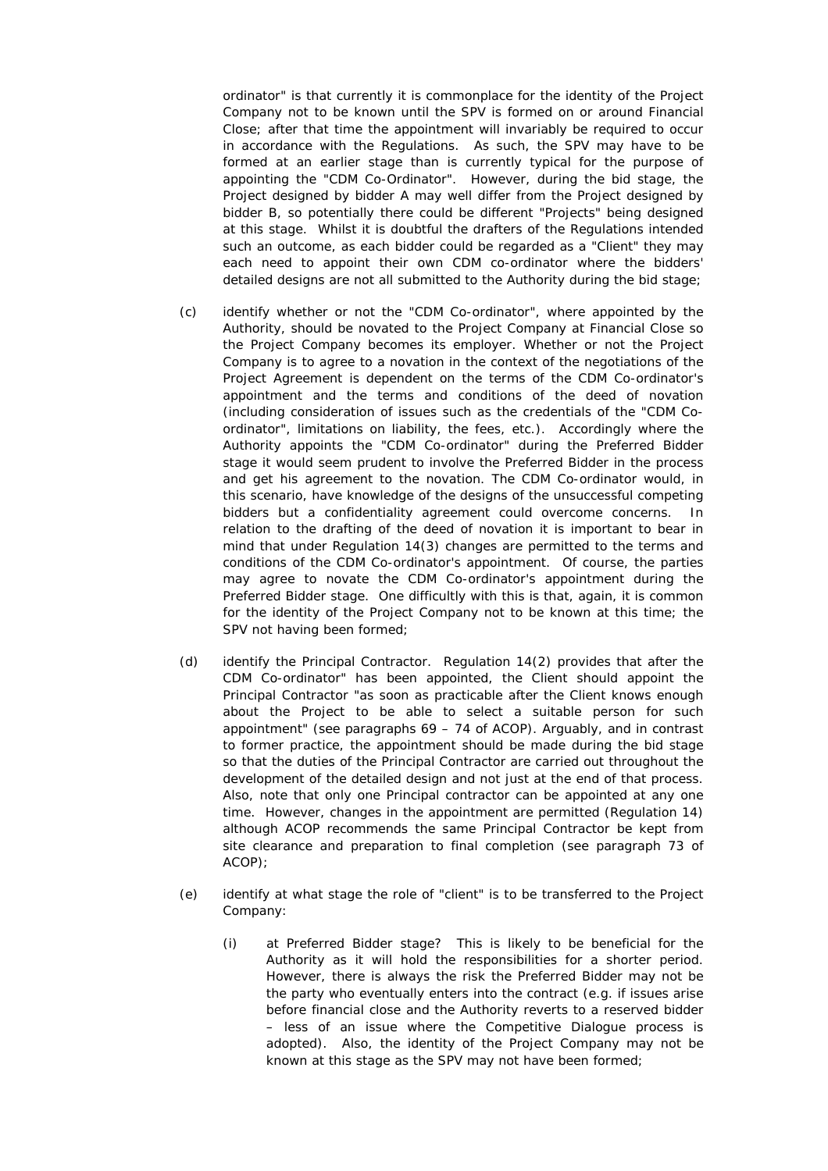ordinator" is that currently it is commonplace for the identity of the Project Company not to be known until the SPV is formed on or around Financial Close; after that time the appointment will invariably be required to occur in accordance with the Regulations. As such, the SPV may have to be formed at an earlier stage than is currently typical for the purpose of appointing the "CDM Co-Ordinator". However, during the bid stage, the Project designed by bidder A may well differ from the Project designed by bidder B, so potentially there could be different "Projects" being designed at this stage. Whilst it is doubtful the drafters of the Regulations intended such an outcome, as each bidder could be regarded as a "Client" they may each need to appoint their own CDM co-ordinator where the bidders' detailed designs are not all submitted to the Authority during the bid stage;

- (c) identify whether or not the "CDM Co-ordinator", where appointed by the Authority, should be novated to the Project Company at Financial Close so the Project Company becomes its employer. Whether or not the Project Company is to agree to a novation in the context of the negotiations of the Project Agreement is dependent on the terms of the CDM Co-ordinator's appointment and the terms and conditions of the deed of novation (including consideration of issues such as the credentials of the "CDM Coordinator", limitations on liability, the fees, etc.). Accordingly where the Authority appoints the "CDM Co-ordinator" during the Preferred Bidder stage it would seem prudent to involve the Preferred Bidder in the process and get his agreement to the novation. The CDM Co-ordinator would, in this scenario, have knowledge of the designs of the unsuccessful competing bidders but a confidentiality agreement could overcome concerns. In relation to the drafting of the deed of novation it is important to bear in mind that under Regulation 14(3) changes are permitted to the terms and conditions of the CDM Co-ordinator's appointment. Of course, the parties may agree to novate the CDM Co-ordinator's appointment during the Preferred Bidder stage. One difficultly with this is that, again, it is common for the identity of the Project Company not to be known at this time; the SPV not having been formed;
- (d) identify the Principal Contractor. Regulation 14(2) provides that after the CDM Co-ordinator" has been appointed, the Client should appoint the Principal Contractor "as soon as practicable after the Client knows enough about the Project to be able to select a suitable person for such appointment" (see paragraphs 69 – 74 of ACOP). Arguably, and in contrast to former practice, the appointment should be made during the bid stage so that the duties of the Principal Contractor are carried out throughout the development of the detailed design and not just at the end of that process. Also, note that only one Principal contractor can be appointed at any one time. However, changes in the appointment are permitted (Regulation 14) although ACOP recommends the same Principal Contractor be kept from site clearance and preparation to final completion (see paragraph 73 of ACOP);
- (e) identify at what stage the role of "client" is to be transferred to the Project Company:
	- (i) at Preferred Bidder stage? This is likely to be beneficial for the Authority as it will hold the responsibilities for a shorter period. However, there is always the risk the Preferred Bidder may not be the party who eventually enters into the contract (e.g. if issues arise before financial close and the Authority reverts to a reserved bidder – less of an issue where the Competitive Dialogue process is adopted). Also, the identity of the Project Company may not be known at this stage as the SPV may not have been formed;